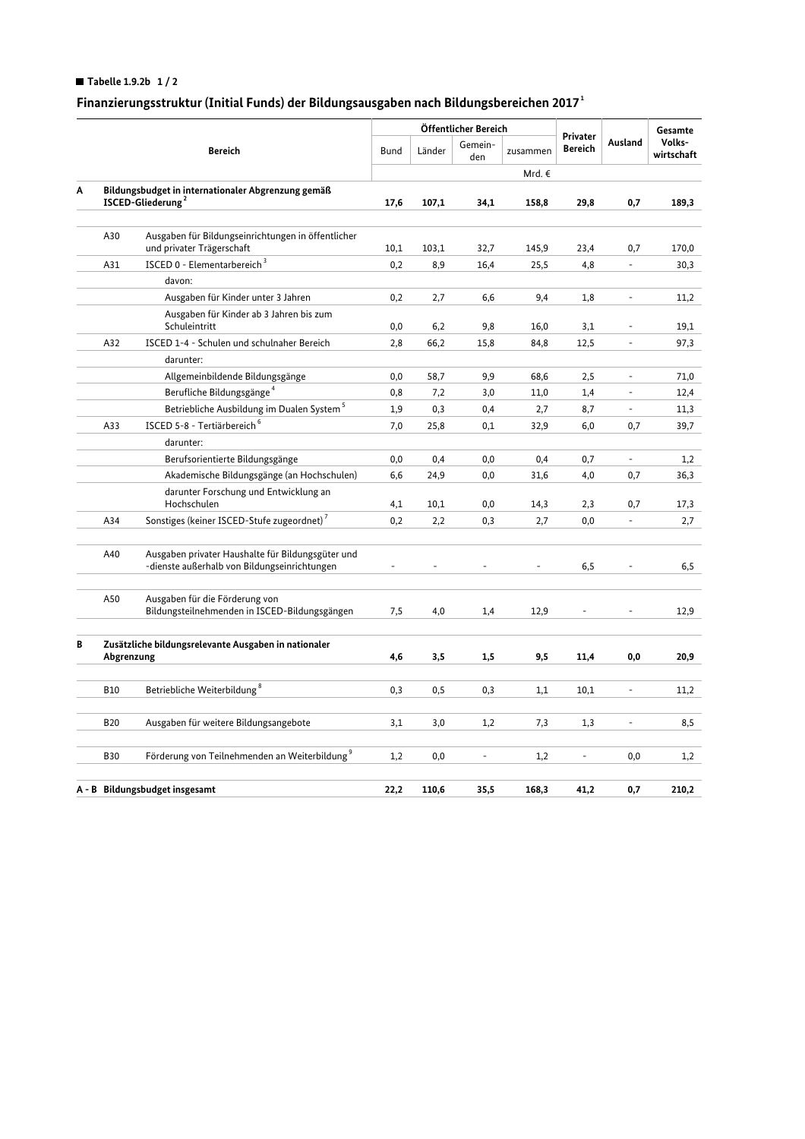## Tabelle 1.9.2b  $1/2$

# Finanzierungsstruktur (Initial Funds) der Bildungsausgaben nach Bildungsbereichen 2017<sup>1</sup>

|                                |                                                                                     |                                                                                                   |             | Öffentlicher Bereich |                |          |                            |                          | Gesamte              |
|--------------------------------|-------------------------------------------------------------------------------------|---------------------------------------------------------------------------------------------------|-------------|----------------------|----------------|----------|----------------------------|--------------------------|----------------------|
|                                | <b>Bereich</b>                                                                      |                                                                                                   | <b>Bund</b> | Länder               | Gemein-<br>den | zusammen | Privater<br><b>Bereich</b> | Ausland                  | Volks-<br>wirtschaft |
|                                |                                                                                     |                                                                                                   |             |                      |                | Mrd. €   |                            |                          |                      |
| Α                              | Bildungsbudget in internationaler Abgrenzung gemäß<br>ISCED-Gliederung <sup>2</sup> |                                                                                                   | 17,6        | 107,1                | 34,1           | 158,8    | 29,8                       | 0,7                      | 189,3                |
|                                |                                                                                     |                                                                                                   |             |                      |                |          |                            |                          |                      |
|                                | A30                                                                                 | Ausgaben für Bildungseinrichtungen in öffentlicher<br>und privater Trägerschaft                   | 10,1        | 103,1                | 32,7           | 145,9    | 23,4                       | 0,7                      | 170,0                |
|                                | A31                                                                                 | ISCED 0 - Elementarbereich <sup>3</sup>                                                           | 0,2         | 8,9                  | 16,4           | 25,5     | 4,8                        | ÷,                       | 30,3                 |
|                                |                                                                                     | davon:                                                                                            |             |                      |                |          |                            |                          |                      |
|                                |                                                                                     | Ausgaben für Kinder unter 3 Jahren                                                                | 0,2         | 2,7                  | 6,6            | 9,4      | 1,8                        |                          | 11,2                 |
|                                |                                                                                     | Ausgaben für Kinder ab 3 Jahren bis zum<br>Schuleintritt                                          | 0,0         | 6,2                  | 9,8            | 16,0     | 3,1                        |                          | 19,1                 |
|                                | A32                                                                                 | ISCED 1-4 - Schulen und schulnaher Bereich                                                        | 2,8         | 66,2                 | 15,8           | 84,8     | 12,5                       |                          | 97,3                 |
|                                |                                                                                     | darunter:                                                                                         |             |                      |                |          |                            |                          |                      |
|                                |                                                                                     | Allgemeinbildende Bildungsgänge                                                                   | 0,0         | 58,7                 | 9,9            | 68,6     | 2,5                        | $\Box$                   | 71,0                 |
|                                |                                                                                     | Berufliche Bildungsgänge <sup>4</sup>                                                             | 0,8         | 7,2                  | 3,0            | 11,0     | 1,4                        | $\overline{\phantom{a}}$ | 12,4                 |
|                                |                                                                                     | Betriebliche Ausbildung im Dualen System <sup>5</sup>                                             | 1,9         | 0,3                  | 0,4            | 2,7      | 8,7                        | ÷,                       | 11,3                 |
|                                | A33                                                                                 | ISCED 5-8 - Tertiärbereich <sup>6</sup>                                                           | 7,0         | 25,8                 | 0,1            | 32,9     | 6,0                        | 0,7                      | 39,7                 |
|                                |                                                                                     | darunter:                                                                                         |             |                      |                |          |                            |                          |                      |
|                                |                                                                                     | Berufsorientierte Bildungsgänge                                                                   | 0,0         | 0,4                  | 0,0            | 0,4      | 0,7                        | $\overline{\phantom{a}}$ | 1,2                  |
|                                |                                                                                     | Akademische Bildungsgänge (an Hochschulen)                                                        | 6,6         | 24,9                 | 0,0            | 31,6     | 4,0                        | 0,7                      | 36,3                 |
|                                |                                                                                     | darunter Forschung und Entwicklung an                                                             |             |                      |                |          |                            |                          |                      |
|                                |                                                                                     | Hochschulen                                                                                       | 4,1         | 10,1                 | 0,0            | 14,3     | 2,3                        | 0,7                      | 17,3                 |
|                                | A34                                                                                 | Sonstiges (keiner ISCED-Stufe zugeordnet) <sup>7</sup>                                            | 0,2         | 2,2                  | 0,3            | 2,7      | 0,0                        | $\overline{\phantom{a}}$ | 2,7                  |
|                                | A40                                                                                 | Ausgaben privater Haushalte für Bildungsgüter und<br>-dienste außerhalb von Bildungseinrichtungen |             |                      |                |          | 6,5                        |                          | 6, 5                 |
|                                | A50                                                                                 | Ausgaben für die Förderung von<br>Bildungsteilnehmenden in ISCED-Bildungsgängen                   | 7,5         | 4,0                  | 1,4            | 12,9     | $\overline{\phantom{a}}$   |                          | 12,9                 |
| В                              | Zusätzliche bildungsrelevante Ausgaben in nationaler<br>Abgrenzung                  |                                                                                                   | 4,6         | 3,5                  | 1,5            | 9,5      | 11,4                       | 0,0                      | 20,9                 |
|                                |                                                                                     |                                                                                                   |             |                      |                |          |                            |                          |                      |
|                                | <b>B10</b>                                                                          | Betriebliche Weiterbildung <sup>8</sup>                                                           | 0,3         | 0, 5                 | 0,3            | 1,1      | 10,1                       |                          | 11,2                 |
|                                | <b>B20</b>                                                                          | Ausgaben für weitere Bildungsangebote                                                             | 3,1         | 3,0                  | 1,2            | 7,3      | 1,3                        | $\overline{\phantom{a}}$ | 8,5                  |
|                                | <b>B30</b>                                                                          | Förderung von Teilnehmenden an Weiterbildung <sup>9</sup>                                         | 1,2         | 0,0                  | $\frac{1}{2}$  | 1,2      | ä,                         | 0,0                      | 1,2                  |
|                                |                                                                                     |                                                                                                   |             |                      |                |          |                            |                          |                      |
| A - B Bildungsbudget insgesamt |                                                                                     |                                                                                                   | 22.2        | 110.6                | 35,5           | 168.3    | 41,2                       | 0,7                      | 210,2                |